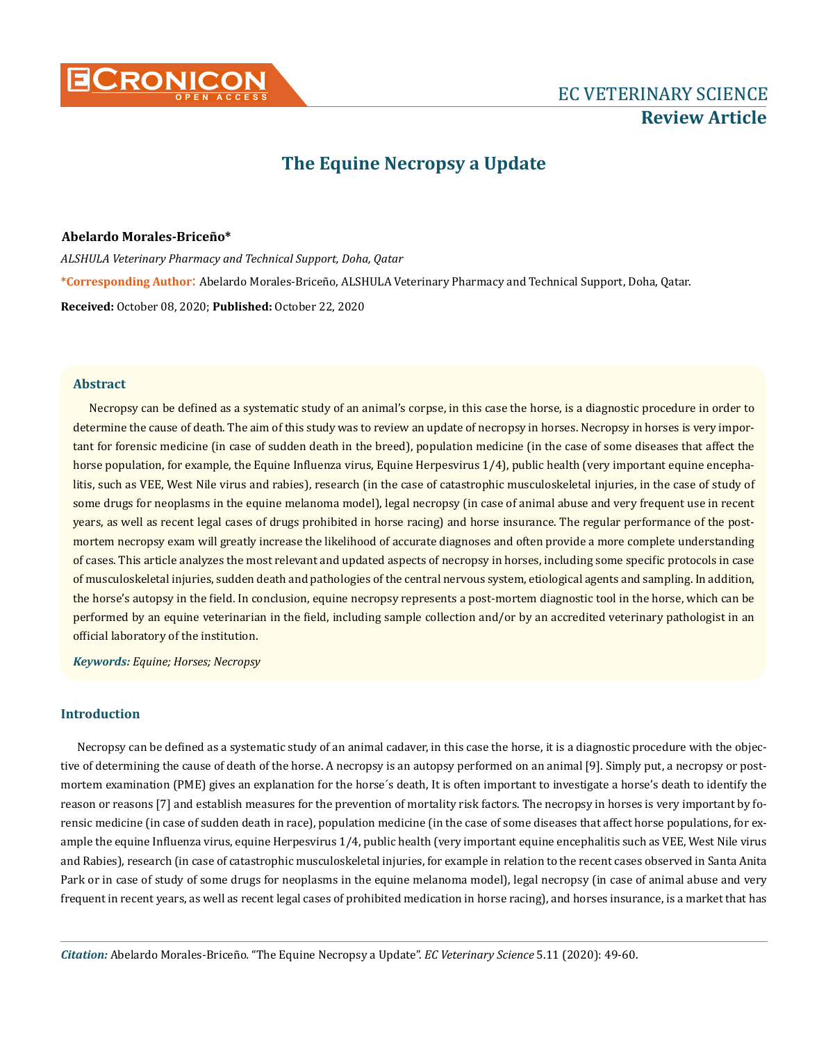

# **The Equine Necropsy a Update**

#### **Abelardo Morales-Briceño\***

*ALSHULA Veterinary Pharmacy and Technical Support, Doha, Qatar* **\*Corresponding Author**: Abelardo Morales-Briceño, ALSHULA Veterinary Pharmacy and Technical Support, Doha, Qatar. **Received:** October 08, 2020; **Published:** October 22, 2020

#### **Abstract**

Necropsy can be defined as a systematic study of an animal's corpse, in this case the horse, is a diagnostic procedure in order to determine the cause of death. The aim of this study was to review an update of necropsy in horses. Necropsy in horses is very important for forensic medicine (in case of sudden death in the breed), population medicine (in the case of some diseases that affect the horse population, for example, the Equine Influenza virus, Equine Herpesvirus 1/4), public health (very important equine encephalitis, such as VEE, West Nile virus and rabies), research (in the case of catastrophic musculoskeletal injuries, in the case of study of some drugs for neoplasms in the equine melanoma model), legal necropsy (in case of animal abuse and very frequent use in recent years, as well as recent legal cases of drugs prohibited in horse racing) and horse insurance. The regular performance of the postmortem necropsy exam will greatly increase the likelihood of accurate diagnoses and often provide a more complete understanding of cases. This article analyzes the most relevant and updated aspects of necropsy in horses, including some specific protocols in case of musculoskeletal injuries, sudden death and pathologies of the central nervous system, etiological agents and sampling. In addition, the horse's autopsy in the field. In conclusion, equine necropsy represents a post-mortem diagnostic tool in the horse, which can be performed by an equine veterinarian in the field, including sample collection and/or by an accredited veterinary pathologist in an official laboratory of the institution.

*Keywords: Equine; Horses; Necropsy*

# **Introduction**

Necropsy can be defined as a systematic study of an animal cadaver, in this case the horse, it is a diagnostic procedure with the objective of determining the cause of death of the horse. A necropsy is an autopsy performed on an animal [9]. Simply put, a necropsy or postmortem examination (PME) gives an explanation for the horse´s death, It is often important to investigate a horse's death to identify the reason or reasons [7] and establish measures for the prevention of mortality risk factors. The necropsy in horses is very important by forensic medicine (in case of sudden death in race), population medicine (in the case of some diseases that affect horse populations, for example the equine Influenza virus, equine Herpesvirus 1/4, public health (very important equine encephalitis such as VEE, West Nile virus and Rabies), research (in case of catastrophic musculoskeletal injuries, for example in relation to the recent cases observed in Santa Anita Park or in case of study of some drugs for neoplasms in the equine melanoma model), legal necropsy (in case of animal abuse and very frequent in recent years, as well as recent legal cases of prohibited medication in horse racing), and horses insurance, is a market that has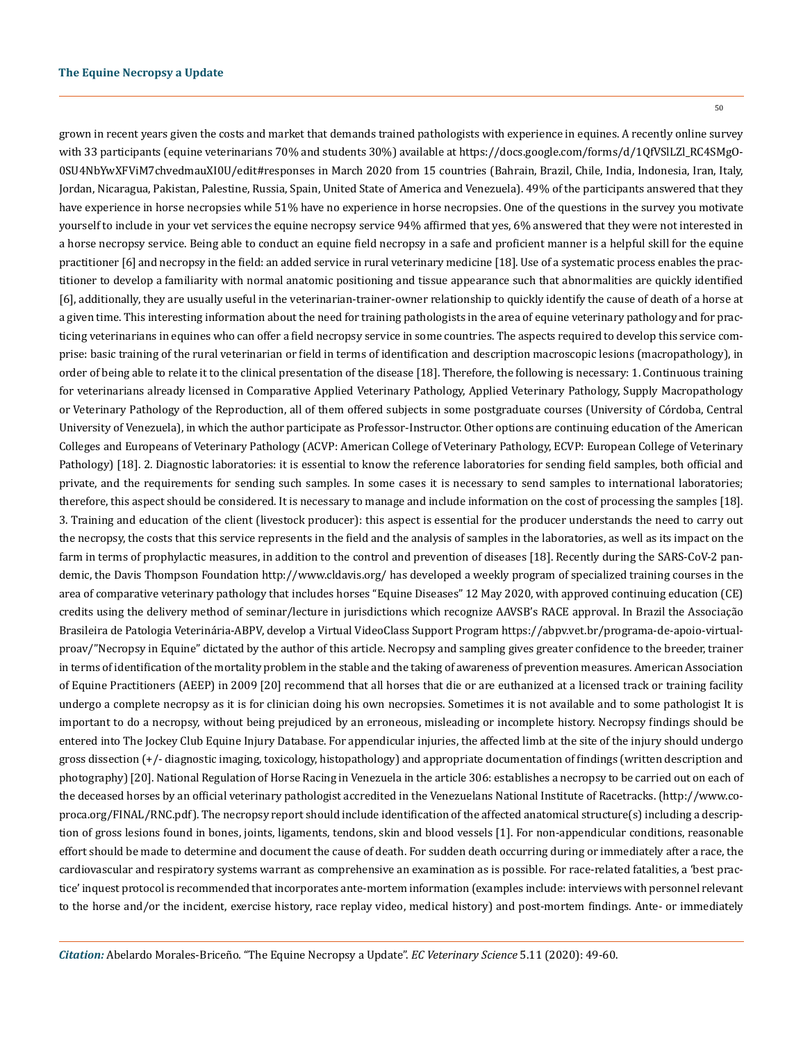50

grown in recent years given the costs and market that demands trained pathologists with experience in equines. A recently online survey with 33 participants (equine veterinarians 70% and students 30%) available at https://docs.google.com/forms/d/1QfVSlLZl\_RC4SMgO-0SU4NbYwXFViM7chvedmauXI0U/edit#responses in March 2020 from 15 countries (Bahrain, Brazil, Chile, India, Indonesia, Iran, Italy, Jordan, Nicaragua, Pakistan, Palestine, Russia, Spain, United State of America and Venezuela). 49% of the participants answered that they have experience in horse necropsies while 51% have no experience in horse necropsies. One of the questions in the survey you motivate yourself to include in your vet services the equine necropsy service 94% affirmed that yes, 6% answered that they were not interested in a horse necropsy service. Being able to conduct an equine field necropsy in a safe and proficient manner is a helpful skill for the equine practitioner [6] and necropsy in the field: an added service in rural veterinary medicine [18]. Use of a systematic process enables the practitioner to develop a familiarity with normal anatomic positioning and tissue appearance such that abnormalities are quickly identified [6], additionally, they are usually useful in the veterinarian-trainer-owner relationship to quickly identify the cause of death of a horse at a given time. This interesting information about the need for training pathologists in the area of equine veterinary pathology and for practicing veterinarians in equines who can offer a field necropsy service in some countries. The aspects required to develop this service comprise: basic training of the rural veterinarian or field in terms of identification and description macroscopic lesions (macropathology), in order of being able to relate it to the clinical presentation of the disease [18]. Therefore, the following is necessary: 1. Continuous training for veterinarians already licensed in Comparative Applied Veterinary Pathology, Applied Veterinary Pathology, Supply Macropathology or Veterinary Pathology of the Reproduction, all of them offered subjects in some postgraduate courses (University of Córdoba, Central University of Venezuela), in which the author participate as Professor-Instructor. Other options are continuing education of the American Colleges and Europeans of Veterinary Pathology (ACVP: American College of Veterinary Pathology, ECVP: European College of Veterinary Pathology) [18]. 2. Diagnostic laboratories: it is essential to know the reference laboratories for sending field samples, both official and private, and the requirements for sending such samples. In some cases it is necessary to send samples to international laboratories; therefore, this aspect should be considered. It is necessary to manage and include information on the cost of processing the samples [18]. 3. Training and education of the client (livestock producer): this aspect is essential for the producer understands the need to carry out the necropsy, the costs that this service represents in the field and the analysis of samples in the laboratories, as well as its impact on the farm in terms of prophylactic measures, in addition to the control and prevention of diseases [18]. Recently during the SARS-CoV-2 pandemic, the Davis Thompson Foundation http://www.cldavis.org/ has developed a weekly program of specialized training courses in the area of comparative veterinary pathology that includes horses "Equine Diseases" 12 May 2020, with approved continuing education (CE) credits using the delivery method of seminar/lecture in jurisdictions which recognize AAVSB's RACE approval. In Brazil the Associação Brasileira de Patologia Veterinária-ABPV, develop a Virtual VideoClass Support Program https://abpv.vet.br/programa-de-apoio-virtualproav/"Necropsy in Equine" dictated by the author of this article. Necropsy and sampling gives greater confidence to the breeder, trainer in terms of identification of the mortality problem in the stable and the taking of awareness of prevention measures. American Association of Equine Practitioners (AEEP) in 2009 [20] recommend that all horses that die or are euthanized at a licensed track or training facility undergo a complete necropsy as it is for clinician doing his own necropsies. Sometimes it is not available and to some pathologist It is important to do a necropsy, without being prejudiced by an erroneous, misleading or incomplete history. Necropsy findings should be entered into The Jockey Club Equine Injury Database. For appendicular injuries, the affected limb at the site of the injury should undergo gross dissection (+/- diagnostic imaging, toxicology, histopathology) and appropriate documentation of findings (written description and photography) [20]. National Regulation of Horse Racing in Venezuela in the article 306: establishes a necropsy to be carried out on each of the deceased horses by an official veterinary pathologist accredited in the Venezuelans National Institute of Racetracks. (http://www.coproca.org/FINAL/RNC.pdf). The necropsy report should include identification of the affected anatomical structure(s) including a description of gross lesions found in bones, joints, ligaments, tendons, skin and blood vessels [1]. For non-appendicular conditions, reasonable effort should be made to determine and document the cause of death. For sudden death occurring during or immediately after a race, the cardiovascular and respiratory systems warrant as comprehensive an examination as is possible. For race-related fatalities, a 'best practice' inquest protocol is recommended that incorporates ante-mortem information (examples include: interviews with personnel relevant to the horse and/or the incident, exercise history, race replay video, medical history) and post-mortem findings. Ante- or immediately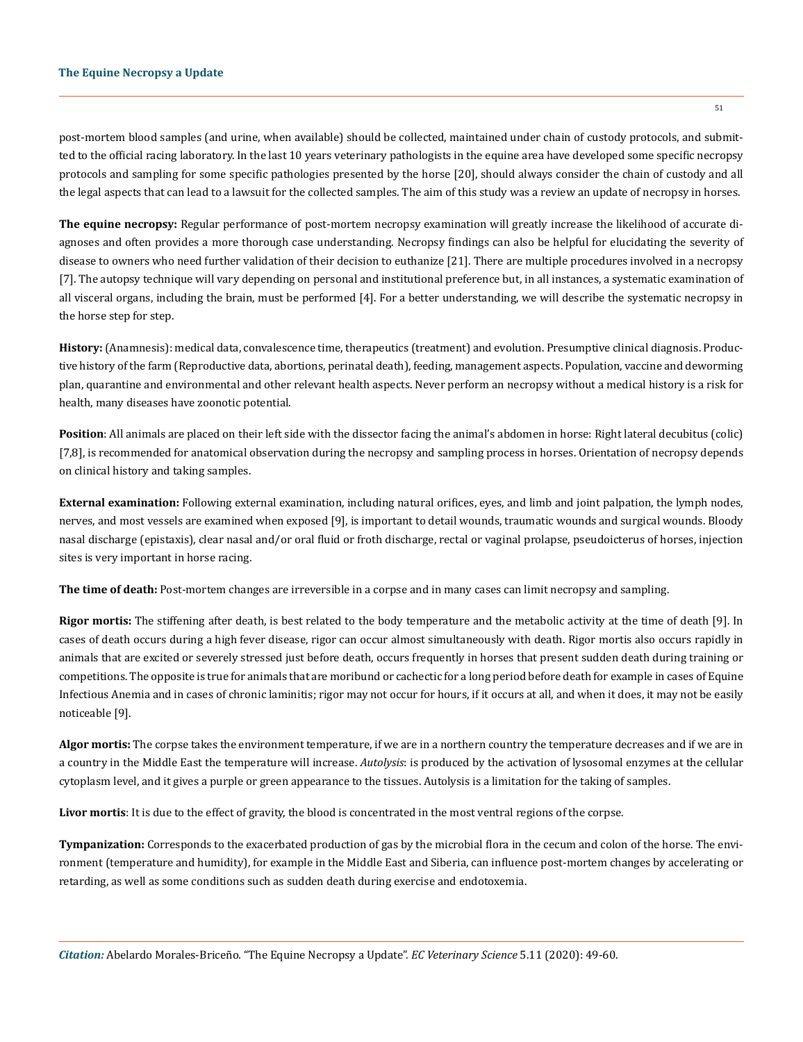post-mortem blood samples (and urine, when available) should be collected, maintained under chain of custody protocols, and submitted to the official racing laboratory. In the last 10 years veterinary pathologists in the equine area have developed some specific necropsy protocols and sampling for some specific pathologies presented by the horse [20], should always consider the chain of custody and all the legal aspects that can lead to a lawsuit for the collected samples. The aim of this study was a review an update of necropsy in horses.

**The equine necropsy:** Regular performance of post-mortem necropsy examination will greatly increase the likelihood of accurate diagnoses and often provides a more thorough case understanding. Necropsy findings can also be helpful for elucidating the severity of disease to owners who need further validation of their decision to euthanize [21]. There are multiple procedures involved in a necropsy [7]. The autopsy technique will vary depending on personal and institutional preference but, in all instances, a systematic examination of all visceral organs, including the brain, must be performed [4]. For a better understanding, we will describe the systematic necropsy in the horse step for step.

**History:** (Anamnesis): medical data, convalescence time, therapeutics (treatment) and evolution. Presumptive clinical diagnosis. Productive history of the farm (Reproductive data, abortions, perinatal death), feeding, management aspects. Population, vaccine and deworming plan, quarantine and environmental and other relevant health aspects. Never perform an necropsy without a medical history is a risk for health, many diseases have zoonotic potential.

**Position**: All animals are placed on their left side with the dissector facing the animal's abdomen in horse: Right lateral decubitus (colic) [7,8], is recommended for anatomical observation during the necropsy and sampling process in horses. Orientation of necropsy depends on clinical history and taking samples.

**External examination:** Following external examination, including natural orifices, eyes, and limb and joint palpation, the lymph nodes, nerves, and most vessels are examined when exposed [9], is important to detail wounds, traumatic wounds and surgical wounds. Bloody nasal discharge (epistaxis), clear nasal and/or oral fluid or froth discharge, rectal or vaginal prolapse, pseudoicterus of horses, injection sites is very important in horse racing.

**The time of death:** Post-mortem changes are irreversible in a corpse and in many cases can limit necropsy and sampling.

**Rigor mortis:** The stiffening after death, is best related to the body temperature and the metabolic activity at the time of death [9]. In cases of death occurs during a high fever disease, rigor can occur almost simultaneously with death. Rigor mortis also occurs rapidly in animals that are excited or severely stressed just before death, occurs frequently in horses that present sudden death during training or competitions. The opposite is true for animals that are moribund or cachectic for a long period before death for example in cases of Equine Infectious Anemia and in cases of chronic laminitis; rigor may not occur for hours, if it occurs at all, and when it does, it may not be easily noticeable [9].

**Algor mortis:** The corpse takes the environment temperature, if we are in a northern country the temperature decreases and if we are in a country in the Middle East the temperature will increase. *Autolysis*: is produced by the activation of lysosomal enzymes at the cellular cytoplasm level, and it gives a purple or green appearance to the tissues. Autolysis is a limitation for the taking of samples.

**Livor mortis**: It is due to the effect of gravity, the blood is concentrated in the most ventral regions of the corpse.

**Tympanization:** Corresponds to the exacerbated production of gas by the microbial flora in the cecum and colon of the horse. The environment (temperature and humidity), for example in the Middle East and Siberia, can influence post-mortem changes by accelerating or retarding, as well as some conditions such as sudden death during exercise and endotoxemia.

*Citation:* Abelardo Morales-Briceño*.* "The Equine Necropsy a Update". *EC Veterinary Science* 5.11 (2020): 49-60.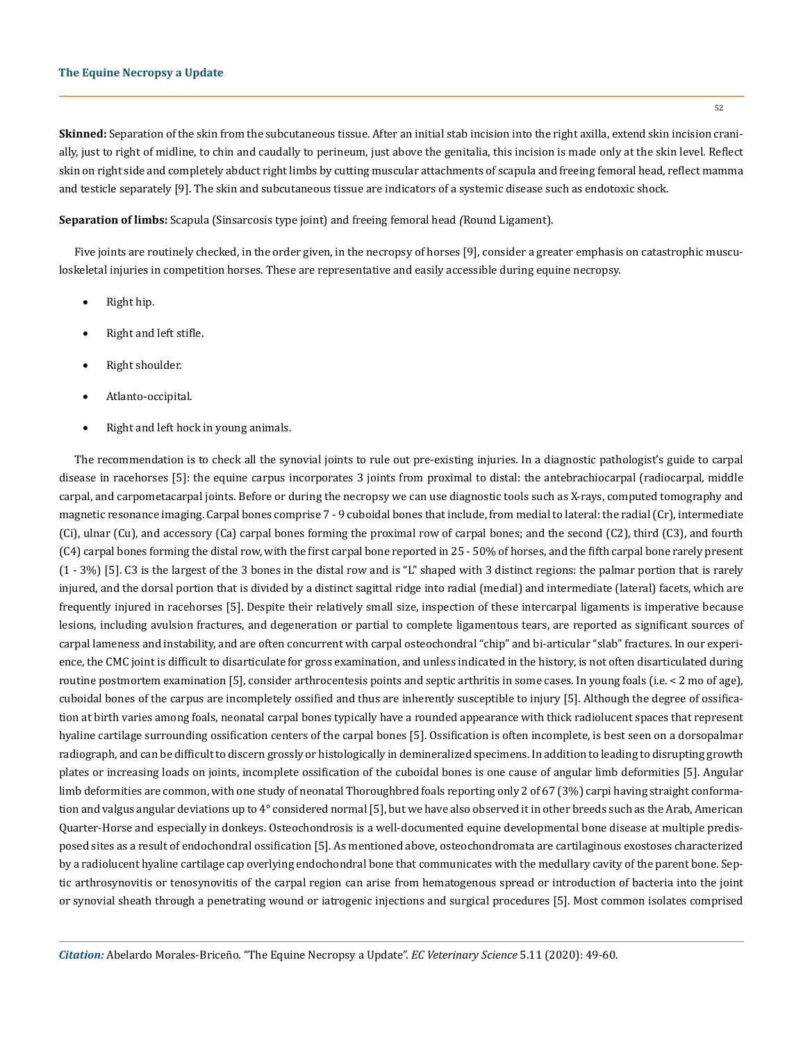**Skinned:** Separation of the skin from the subcutaneous tissue. After an initial stab incision into the right axilla, extend skin incision cranially, just to right of midline, to chin and caudally to perineum, just above the genitalia, this incision is made only at the skin level. Reflect skin on right side and completely abduct right limbs by cutting muscular attachments of scapula and freeing femoral head, reflect mamma and testicle separately [9]. The skin and subcutaneous tissue are indicators of a systemic disease such as endotoxic shock.

**Separation of limbs:** Scapula (Sinsarcosis type joint) and freeing femoral head *(*Round Ligament).

Five joints are routinely checked, in the order given, in the necropsy of horses [9], consider a greater emphasis on catastrophic musculoskeletal injuries in competition horses. These are representative and easily accessible during equine necropsy.

- Right hip.
- Right and left stifle.
- Right shoulder.
- Atlanto-occipital.
- Right and left hock in young animals.

The recommendation is to check all the synovial joints to rule out pre-existing injuries. In a diagnostic pathologist's guide to carpal disease in racehorses [5]: the equine carpus incorporates 3 joints from proximal to distal: the antebrachiocarpal (radiocarpal, middle carpal, and carpometacarpal joints. Before or during the necropsy we can use diagnostic tools such as X-rays, computed tomography and magnetic resonance imaging. Carpal bones comprise 7 - 9 cuboidal bones that include, from medial to lateral: the radial (Cr), intermediate (Ci), ulnar (Cu), and accessory (Ca) carpal bones forming the proximal row of carpal bones; and the second (C2), third (C3), and fourth (C4) carpal bones forming the distal row, with the first carpal bone reported in 25 - 50% of horses, and the fifth carpal bone rarely present (1 - 3%) [5]. C3 is the largest of the 3 bones in the distal row and is "L" shaped with 3 distinct regions: the palmar portion that is rarely injured, and the dorsal portion that is divided by a distinct sagittal ridge into radial (medial) and intermediate (lateral) facets, which are frequently injured in racehorses [5]. Despite their relatively small size, inspection of these intercarpal ligaments is imperative because lesions, including avulsion fractures, and degeneration or partial to complete ligamentous tears, are reported as significant sources of carpal lameness and instability, and are often concurrent with carpal osteochondral "chip" and bi-articular "slab" fractures. In our experience, the CMC joint is difficult to disarticulate for gross examination, and unless indicated in the history, is not often disarticulated during routine postmortem examination [5], consider arthrocentesis points and septic arthritis in some cases. In young foals (i.e. < 2 mo of age), cuboidal bones of the carpus are incompletely ossified and thus are inherently susceptible to injury [5]. Although the degree of ossification at birth varies among foals, neonatal carpal bones typically have a rounded appearance with thick radiolucent spaces that represent hyaline cartilage surrounding ossification centers of the carpal bones [5]. Ossification is often incomplete, is best seen on a dorsopalmar radiograph, and can be difficult to discern grossly or histologically in demineralized specimens. In addition to leading to disrupting growth plates or increasing loads on joints, incomplete ossification of the cuboidal bones is one cause of angular limb deformities [5]. Angular limb deformities are common, with one study of neonatal Thoroughbred foals reporting only 2 of 67 (3%) carpi having straight conformation and valgus angular deviations up to 4° considered normal [5], but we have also observed it in other breeds such as the Arab, American Quarter-Horse and especially in donkeys. Osteochondrosis is a well-documented equine developmental bone disease at multiple predisposed sites as a result of endochondral ossification [5]. As mentioned above, osteochondromata are cartilaginous exostoses characterized by a radiolucent hyaline cartilage cap overlying endochondral bone that communicates with the medullary cavity of the parent bone. Septic arthrosynovitis or tenosynovitis of the carpal region can arise from hematogenous spread or introduction of bacteria into the joint or synovial sheath through a penetrating wound or iatrogenic injections and surgical procedures [5]. Most common isolates comprised

*Citation:* Abelardo Morales-Briceño*.* "The Equine Necropsy a Update". *EC Veterinary Science* 5.11 (2020): 49-60.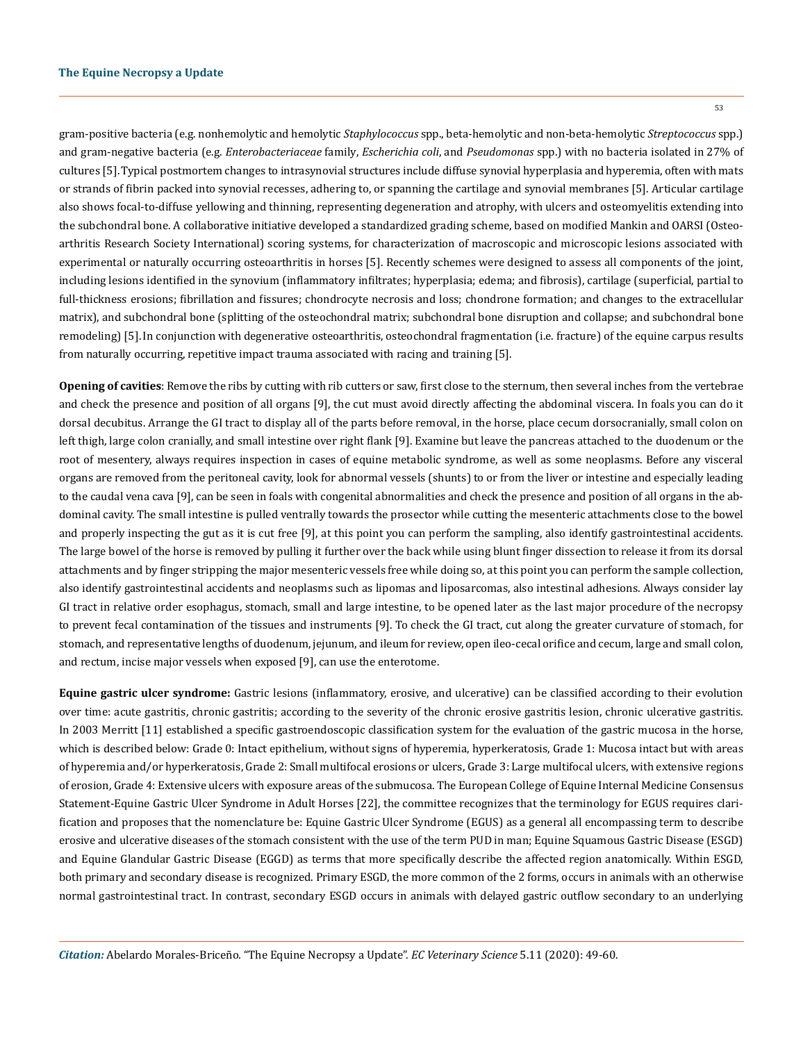gram-positive bacteria (e.g. nonhemolytic and hemolytic *Staphylococcus* spp., beta-hemolytic and non-beta-hemolytic *Streptococcus* spp.) and gram-negative bacteria (e.g. *Enterobacteriaceae* family, *Escherichia coli*, and *Pseudomonas* spp.) with no bacteria isolated in 27% of cultures [5].Typical postmortem changes to intrasynovial structures include diffuse synovial hyperplasia and hyperemia, often with mats or strands of fibrin packed into synovial recesses, adhering to, or spanning the cartilage and synovial membranes [5]. Articular cartilage also shows focal-to-diffuse yellowing and thinning, representing degeneration and atrophy, with ulcers and osteomyelitis extending into the subchondral bone. A collaborative initiative developed a standardized grading scheme, based on modified Mankin and OARSI (Osteoarthritis Research Society International) scoring systems, for characterization of macroscopic and microscopic lesions associated with experimental or naturally occurring osteoarthritis in horses [5]. Recently schemes were designed to assess all components of the joint, including lesions identified in the synovium (inflammatory infiltrates; hyperplasia; edema; and fibrosis), cartilage (superficial, partial to full-thickness erosions; fibrillation and fissures; chondrocyte necrosis and loss; chondrone formation; and changes to the extracellular matrix), and subchondral bone (splitting of the osteochondral matrix; subchondral bone disruption and collapse; and subchondral bone remodeling) [5].In conjunction with degenerative osteoarthritis, osteochondral fragmentation (i.e. fracture) of the equine carpus results from naturally occurring, repetitive impact trauma associated with racing and training [5].

**Opening of cavities**: Remove the ribs by cutting with rib cutters or saw, first close to the sternum, then several inches from the vertebrae and check the presence and position of all organs [9], the cut must avoid directly affecting the abdominal viscera. In foals you can do it dorsal decubitus. Arrange the GI tract to display all of the parts before removal, in the horse, place cecum dorsocranially, small colon on left thigh, large colon cranially, and small intestine over right flank [9]. Examine but leave the pancreas attached to the duodenum or the root of mesentery, always requires inspection in cases of equine metabolic syndrome, as well as some neoplasms. Before any visceral organs are removed from the peritoneal cavity, look for abnormal vessels (shunts) to or from the liver or intestine and especially leading to the caudal vena cava [9], can be seen in foals with congenital abnormalities and check the presence and position of all organs in the abdominal cavity. The small intestine is pulled ventrally towards the prosector while cutting the mesenteric attachments close to the bowel and properly inspecting the gut as it is cut free [9], at this point you can perform the sampling, also identify gastrointestinal accidents. The large bowel of the horse is removed by pulling it further over the back while using blunt finger dissection to release it from its dorsal attachments and by finger stripping the major mesenteric vessels free while doing so, at this point you can perform the sample collection, also identify gastrointestinal accidents and neoplasms such as lipomas and liposarcomas, also intestinal adhesions. Always consider lay GI tract in relative order esophagus, stomach, small and large intestine, to be opened later as the last major procedure of the necropsy to prevent fecal contamination of the tissues and instruments [9]. To check the GI tract, cut along the greater curvature of stomach, for stomach, and representative lengths of duodenum, jejunum, and ileum for review, open ileo-cecal orifice and cecum, large and small colon, and rectum, incise major vessels when exposed [9], can use the enterotome.

**Equine gastric ulcer syndrome:** Gastric lesions (inflammatory, erosive, and ulcerative) can be classified according to their evolution over time: acute gastritis, chronic gastritis; according to the severity of the chronic erosive gastritis lesion, chronic ulcerative gastritis. In 2003 Merritt [11] established a specific gastroendoscopic classification system for the evaluation of the gastric mucosa in the horse, which is described below: Grade 0: Intact epithelium, without signs of hyperemia, hyperkeratosis, Grade 1: Mucosa intact but with areas of hyperemia and/or hyperkeratosis, Grade 2: Small multifocal erosions or ulcers, Grade 3: Large multifocal ulcers, with extensive regions of erosion, Grade 4: Extensive ulcers with exposure areas of the submucosa. The European College of Equine Internal Medicine Consensus Statement-Equine Gastric Ulcer Syndrome in Adult Horses [22], the committee recognizes that the terminology for EGUS requires clarification and proposes that the nomenclature be: Equine Gastric Ulcer Syndrome (EGUS) as a general all encompassing term to describe erosive and ulcerative diseases of the stomach consistent with the use of the term PUD in man; Equine Squamous Gastric Disease (ESGD) and Equine Glandular Gastric Disease (EGGD) as terms that more specifically describe the affected region anatomically. Within ESGD, both primary and secondary disease is recognized. Primary ESGD, the more common of the 2 forms, occurs in animals with an otherwise normal gastrointestinal tract. In contrast, secondary ESGD occurs in animals with delayed gastric outflow secondary to an underlying

*Citation:* Abelardo Morales-Briceño*.* "The Equine Necropsy a Update". *EC Veterinary Science* 5.11 (2020): 49-60.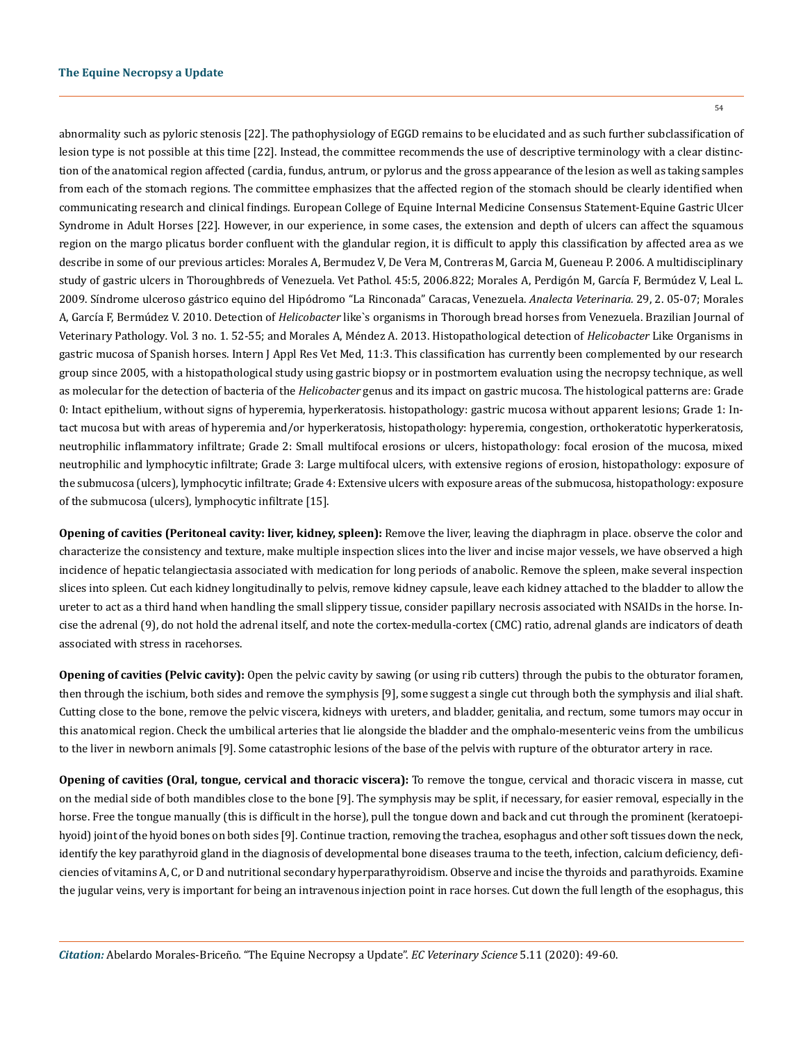abnormality such as pyloric stenosis [22]. The pathophysiology of EGGD remains to be elucidated and as such further subclassification of lesion type is not possible at this time [22]. Instead, the committee recommends the use of descriptive terminology with a clear distinction of the anatomical region affected (cardia, fundus, antrum, or pylorus and the gross appearance of the lesion as well as taking samples from each of the stomach regions. The committee emphasizes that the affected region of the stomach should be clearly identified when communicating research and clinical findings. European College of Equine Internal Medicine Consensus Statement-Equine Gastric Ulcer Syndrome in Adult Horses [22]. However, in our experience, in some cases, the extension and depth of ulcers can affect the squamous region on the margo plicatus border confluent with the glandular region, it is difficult to apply this classification by affected area as we describe in some of our previous articles: Morales A, Bermudez V, De Vera M, Contreras M, Garcia M, Gueneau P. 2006. A multidisciplinary

study of gastric ulcers in Thoroughbreds of Venezuela. Vet Pathol. 45:5, 2006.822; Morales A, Perdigón M, García F, Bermúdez V, Leal L. 2009. Síndrome ulceroso gástrico equino del Hipódromo "La Rinconada" Caracas, Venezuela. *Analecta Veterinaria.* 29, 2. 05-07; Morales A, García F, Bermúdez V. 2010. Detection of *Helicobacter* like`s organisms in Thorough bread horses from Venezuela. Brazilian Journal of Veterinary Pathology*.* Vol. 3 no. 1. 52-55; and Morales A, Méndez A. 2013. Histopathological detection of *Helicobacter* Like Organisms in gastric mucosa of Spanish horses. Intern J Appl Res Vet Med, 11:3. This classification has currently been complemented by our research group since 2005, with a histopathological study using gastric biopsy or in postmortem evaluation using the necropsy technique, as well as molecular for the detection of bacteria of the *Helicobacter* genus and its impact on gastric mucosa. The histological patterns are: Grade 0: Intact epithelium, without signs of hyperemia, hyperkeratosis. histopathology: gastric mucosa without apparent lesions; Grade 1: Intact mucosa but with areas of hyperemia and/or hyperkeratosis, histopathology: hyperemia, congestion, orthokeratotic hyperkeratosis, neutrophilic inflammatory infiltrate; Grade 2: Small multifocal erosions or ulcers, histopathology: focal erosion of the mucosa, mixed neutrophilic and lymphocytic infiltrate; Grade 3: Large multifocal ulcers, with extensive regions of erosion, histopathology: exposure of the submucosa (ulcers), lymphocytic infiltrate; Grade 4: Extensive ulcers with exposure areas of the submucosa, histopathology: exposure of the submucosa (ulcers), lymphocytic infiltrate [15].

**Opening of cavities (Peritoneal cavity: liver, kidney, spleen):** Remove the liver, leaving the diaphragm in place. observe the color and characterize the consistency and texture, make multiple inspection slices into the liver and incise major vessels, we have observed a high incidence of hepatic telangiectasia associated with medication for long periods of anabolic. Remove the spleen, make several inspection slices into spleen. Cut each kidney longitudinally to pelvis, remove kidney capsule, leave each kidney attached to the bladder to allow the ureter to act as a third hand when handling the small slippery tissue, consider papillary necrosis associated with NSAIDs in the horse. Incise the adrenal (9), do not hold the adrenal itself, and note the cortex-medulla-cortex (CMC) ratio, adrenal glands are indicators of death associated with stress in racehorses.

**Opening of cavities (Pelvic cavity):** Open the pelvic cavity by sawing (or using rib cutters) through the pubis to the obturator foramen, then through the ischium, both sides and remove the symphysis [9], some suggest a single cut through both the symphysis and ilial shaft. Cutting close to the bone, remove the pelvic viscera, kidneys with ureters, and bladder, genitalia, and rectum, some tumors may occur in this anatomical region. Check the umbilical arteries that lie alongside the bladder and the omphalo-mesenteric veins from the umbilicus to the liver in newborn animals [9]. Some catastrophic lesions of the base of the pelvis with rupture of the obturator artery in race.

**Opening of cavities (Oral, tongue, cervical and thoracic viscera):** To remove the tongue, cervical and thoracic viscera in masse, cut on the medial side of both mandibles close to the bone [9]. The symphysis may be split, if necessary, for easier removal, especially in the horse. Free the tongue manually (this is difficult in the horse), pull the tongue down and back and cut through the prominent (keratoepihyoid) joint of the hyoid bones on both sides [9]. Continue traction, removing the trachea, esophagus and other soft tissues down the neck, identify the key parathyroid gland in the diagnosis of developmental bone diseases trauma to the teeth, infection, calcium deficiency, deficiencies of vitamins A, C, or D and nutritional secondary hyperparathyroidism. Observe and incise the thyroids and parathyroids. Examine the jugular veins, very is important for being an intravenous injection point in race horses. Cut down the full length of the esophagus, this

*Citation:* Abelardo Morales-Briceño*.* "The Equine Necropsy a Update". *EC Veterinary Science* 5.11 (2020): 49-60.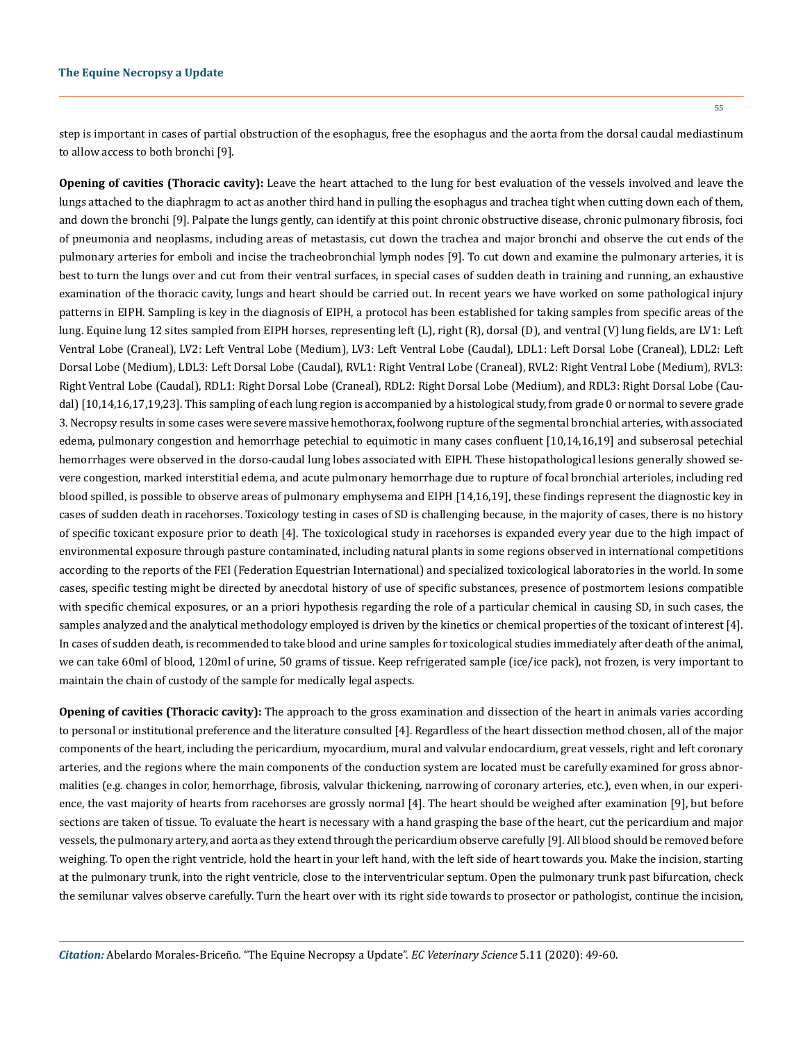55

step is important in cases of partial obstruction of the esophagus, free the esophagus and the aorta from the dorsal caudal mediastinum to allow access to both bronchi [9].

**Opening of cavities (Thoracic cavity):** Leave the heart attached to the lung for best evaluation of the vessels involved and leave the lungs attached to the diaphragm to act as another third hand in pulling the esophagus and trachea tight when cutting down each of them, and down the bronchi [9]. Palpate the lungs gently, can identify at this point chronic obstructive disease, chronic pulmonary fibrosis, foci of pneumonia and neoplasms, including areas of metastasis, cut down the trachea and major bronchi and observe the cut ends of the pulmonary arteries for emboli and incise the tracheobronchial lymph nodes [9]. To cut down and examine the pulmonary arteries, it is best to turn the lungs over and cut from their ventral surfaces, in special cases of sudden death in training and running, an exhaustive examination of the thoracic cavity, lungs and heart should be carried out. In recent years we have worked on some pathological injury patterns in EIPH. Sampling is key in the diagnosis of EIPH, a protocol has been established for taking samples from specific areas of the lung. Equine lung 12 sites sampled from EIPH horses, representing left (L), right (R), dorsal (D), and ventral (V) lung fields, are LV1: Left Ventral Lobe (Craneal), LV2: Left Ventral Lobe (Medium), LV3: Left Ventral Lobe (Caudal), LDL1: Left Dorsal Lobe (Craneal), LDL2: Left Dorsal Lobe (Medium), LDL3: Left Dorsal Lobe (Caudal), RVL1: Right Ventral Lobe (Craneal), RVL2: Right Ventral Lobe (Medium), RVL3: Right Ventral Lobe (Caudal), RDL1: Right Dorsal Lobe (Craneal), RDL2: Right Dorsal Lobe (Medium), and RDL3: Right Dorsal Lobe (Caudal) [10,14,16,17,19,23]. This sampling of each lung region is accompanied by a histological study, from grade 0 or normal to severe grade 3. Necropsy results in some cases were severe massive hemothorax, foolwong rupture of the segmental bronchial arteries, with associated edema, pulmonary congestion and hemorrhage petechial to equimotic in many cases confluent [10,14,16,19] and subserosal petechial hemorrhages were observed in the dorso-caudal lung lobes associated with EIPH. These histopathological lesions generally showed severe congestion, marked interstitial edema, and acute pulmonary hemorrhage due to rupture of focal bronchial arterioles, including red blood spilled, is possible to observe areas of pulmonary emphysema and EIPH [14,16,19], these findings represent the diagnostic key in cases of sudden death in racehorses. Toxicology testing in cases of SD is challenging because, in the majority of cases, there is no history of specific toxicant exposure prior to death [4]. The toxicological study in racehorses is expanded every year due to the high impact of environmental exposure through pasture contaminated, including natural plants in some regions observed in international competitions according to the reports of the FEI (Federation Equestrian International) and specialized toxicological laboratories in the world. In some cases, specific testing might be directed by anecdotal history of use of specific substances, presence of postmortem lesions compatible with specific chemical exposures, or an a priori hypothesis regarding the role of a particular chemical in causing SD, in such cases, the samples analyzed and the analytical methodology employed is driven by the kinetics or chemical properties of the toxicant of interest [4]. In cases of sudden death, is recommended to take blood and urine samples for toxicological studies immediately after death of the animal, we can take 60ml of blood, 120ml of urine, 50 grams of tissue. Keep refrigerated sample (ice/ice pack), not frozen, is very important to maintain the chain of custody of the sample for medically legal aspects.

**Opening of cavities (Thoracic cavity):** The approach to the gross examination and dissection of the heart in animals varies according to personal or institutional preference and the literature consulted [4]. Regardless of the heart dissection method chosen, all of the major components of the heart, including the pericardium, myocardium, mural and valvular endocardium, great vessels, right and left coronary arteries, and the regions where the main components of the conduction system are located must be carefully examined for gross abnormalities (e.g. changes in color, hemorrhage, fibrosis, valvular thickening, narrowing of coronary arteries, etc.), even when, in our experience, the vast majority of hearts from racehorses are grossly normal [4]. The heart should be weighed after examination [9], but before sections are taken of tissue. To evaluate the heart is necessary with a hand grasping the base of the heart, cut the pericardium and major vessels, the pulmonary artery, and aorta as they extend through the pericardium observe carefully [9]. All blood should be removed before weighing. To open the right ventricle, hold the heart in your left hand, with the left side of heart towards you. Make the incision, starting at the pulmonary trunk, into the right ventricle, close to the interventricular septum. Open the pulmonary trunk past bifurcation, check the semilunar valves observe carefully. Turn the heart over with its right side towards to prosector or pathologist, continue the incision,

*Citation:* Abelardo Morales-Briceño*.* "The Equine Necropsy a Update". *EC Veterinary Science* 5.11 (2020): 49-60.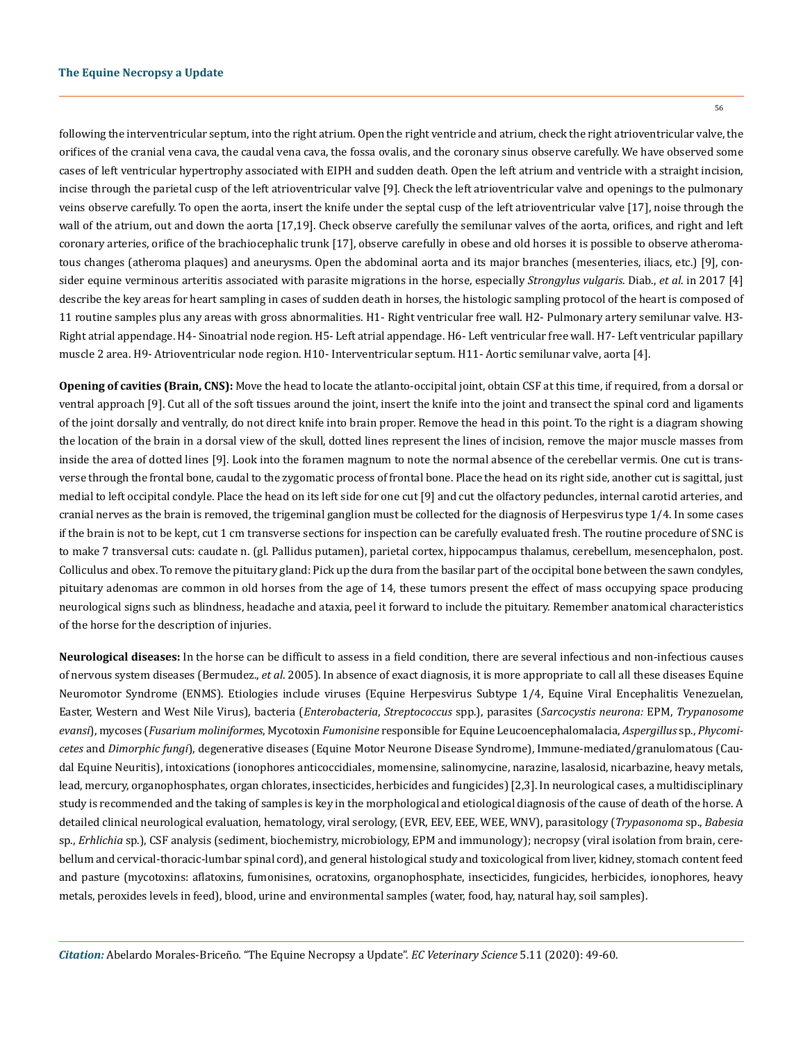following the interventricular septum, into the right atrium. Open the right ventricle and atrium, check the right atrioventricular valve, the orifices of the cranial vena cava, the caudal vena cava, the fossa ovalis, and the coronary sinus observe carefully. We have observed some cases of left ventricular hypertrophy associated with EIPH and sudden death. Open the left atrium and ventricle with a straight incision, incise through the parietal cusp of the left atrioventricular valve [9]. Check the left atrioventricular valve and openings to the pulmonary veins observe carefully. To open the aorta, insert the knife under the septal cusp of the left atrioventricular valve [17], noise through the wall of the atrium, out and down the aorta [17,19]. Check observe carefully the semilunar valves of the aorta, orifices, and right and left coronary arteries, orifice of the brachiocephalic trunk [17], observe carefully in obese and old horses it is possible to observe atheromatous changes (atheroma plaques) and aneurysms. Open the abdominal aorta and its major branches (mesenteries, iliacs, etc.) [9], consider equine verminous arteritis associated with parasite migrations in the horse, especially *Strongylus vulgaris*. Diab., *et al*. in 2017 [4] describe the key areas for heart sampling in cases of sudden death in horses, the histologic sampling protocol of the heart is composed of 11 routine samples plus any areas with gross abnormalities. H1- Right ventricular free wall. H2- Pulmonary artery semilunar valve. H3- Right atrial appendage. H4- Sinoatrial node region. H5- Left atrial appendage. H6- Left ventricular free wall. H7- Left ventricular papillary muscle 2 area. H9- Atrioventricular node region. H10- Interventricular septum. H11- Aortic semilunar valve, aorta [4].

**Opening of cavities (Brain, CNS):** Move the head to locate the atlanto-occipital joint, obtain CSF at this time, if required, from a dorsal or ventral approach [9]. Cut all of the soft tissues around the joint, insert the knife into the joint and transect the spinal cord and ligaments of the joint dorsally and ventrally, do not direct knife into brain proper. Remove the head in this point. To the right is a diagram showing the location of the brain in a dorsal view of the skull, dotted lines represent the lines of incision, remove the major muscle masses from inside the area of dotted lines [9]. Look into the foramen magnum to note the normal absence of the cerebellar vermis. One cut is transverse through the frontal bone, caudal to the zygomatic process of frontal bone. Place the head on its right side, another cut is sagittal, just medial to left occipital condyle. Place the head on its left side for one cut [9] and cut the olfactory peduncles, internal carotid arteries, and cranial nerves as the brain is removed, the trigeminal ganglion must be collected for the diagnosis of Herpesvirus type 1/4. In some cases if the brain is not to be kept, cut 1 cm transverse sections for inspection can be carefully evaluated fresh. The routine procedure of SNC is to make 7 transversal cuts: caudate n. (gl. Pallidus putamen), parietal cortex, hippocampus thalamus, cerebellum, mesencephalon, post. Colliculus and obex. To remove the pituitary gland: Pick up the dura from the basilar part of the occipital bone between the sawn condyles, pituitary adenomas are common in old horses from the age of 14, these tumors present the effect of mass occupying space producing neurological signs such as blindness, headache and ataxia, peel it forward to include the pituitary. Remember anatomical characteristics of the horse for the description of injuries.

**Neurological diseases:** In the horse can be difficult to assess in a field condition, there are several infectious and non-infectious causes of nervous system diseases (Bermudez., *et al*. 2005). In absence of exact diagnosis, it is more appropriate to call all these diseases Equine Neuromotor Syndrome (ENMS). Etiologies include viruses (Equine Herpesvirus Subtype 1/4, Equine Viral Encephalitis Venezuelan, Easter, Western and West Nile Virus), bacteria (*Enterobacteria*, *Streptococcus* spp.), parasites (*Sarcocystis neurona:* EPM, *Trypanosome evansi*), mycoses (*Fusarium moliniformes*, Mycotoxin *Fumonisine* responsible for Equine Leucoencephalomalacia, *Aspergillus* sp., *Phycomicetes* and *Dimorphic fungi*), degenerative diseases (Equine Motor Neurone Disease Syndrome), Immune-mediated/granulomatous (Caudal Equine Neuritis), intoxications (ionophores anticoccidiales, momensine, salinomycine, narazine, lasalosid, nicarbazine, heavy metals, lead, mercury, organophosphates, organ chlorates, insecticides, herbicides and fungicides) [2,3]. In neurological cases, a multidisciplinary study is recommended and the taking of samples is key in the morphological and etiological diagnosis of the cause of death of the horse. A detailed clinical neurological evaluation, hematology, viral serology, (EVR, EEV, EEE, WEE, WNV), parasitology (*Trypasonoma* sp., *Babesia* sp., *Erhlichia* sp.), CSF analysis (sediment, biochemistry, microbiology, EPM and immunology); necropsy (viral isolation from brain, cerebellum and cervical-thoracic-lumbar spinal cord), and general histological study and toxicological from liver, kidney, stomach content feed and pasture (mycotoxins: aflatoxins, fumonisines, ocratoxins, organophosphate, insecticides, fungicides, herbicides, ionophores, heavy metals, peroxides levels in feed), blood, urine and environmental samples (water, food, hay, natural hay, soil samples).

*Citation:* Abelardo Morales-Briceño*.* "The Equine Necropsy a Update". *EC Veterinary Science* 5.11 (2020): 49-60.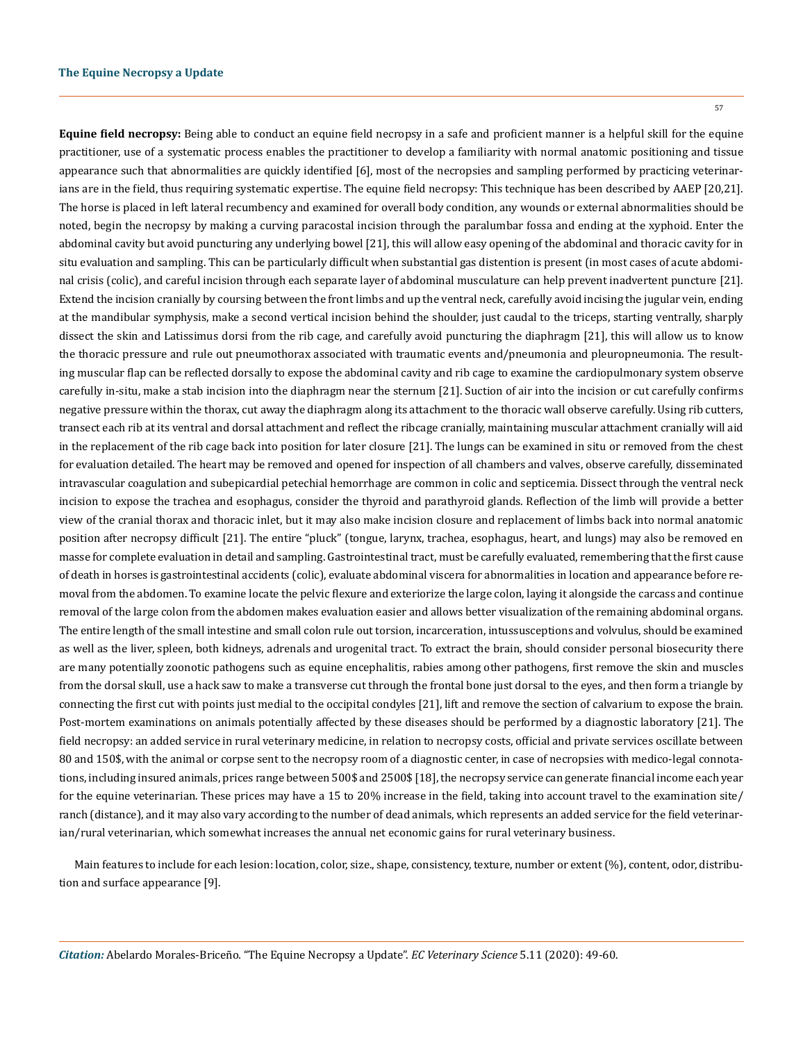57

**Equine field necropsy:** Being able to conduct an equine field necropsy in a safe and proficient manner is a helpful skill for the equine practitioner, use of a systematic process enables the practitioner to develop a familiarity with normal anatomic positioning and tissue appearance such that abnormalities are quickly identified [6], most of the necropsies and sampling performed by practicing veterinarians are in the field, thus requiring systematic expertise. The equine field necropsy: This technique has been described by AAEP [20,21]. The horse is placed in left lateral recumbency and examined for overall body condition, any wounds or external abnormalities should be noted, begin the necropsy by making a curving paracostal incision through the paralumbar fossa and ending at the xyphoid. Enter the abdominal cavity but avoid puncturing any underlying bowel [21], this will allow easy opening of the abdominal and thoracic cavity for in situ evaluation and sampling. This can be particularly difficult when substantial gas distention is present (in most cases of acute abdominal crisis (colic), and careful incision through each separate layer of abdominal musculature can help prevent inadvertent puncture [21]. Extend the incision cranially by coursing between the front limbs and up the ventral neck, carefully avoid incising the jugular vein, ending at the mandibular symphysis, make a second vertical incision behind the shoulder, just caudal to the triceps, starting ventrally, sharply dissect the skin and Latissimus dorsi from the rib cage, and carefully avoid puncturing the diaphragm [21], this will allow us to know the thoracic pressure and rule out pneumothorax associated with traumatic events and/pneumonia and pleuropneumonia. The resulting muscular flap can be reflected dorsally to expose the abdominal cavity and rib cage to examine the cardiopulmonary system observe carefully in-situ, make a stab incision into the diaphragm near the sternum [21]. Suction of air into the incision or cut carefully confirms negative pressure within the thorax, cut away the diaphragm along its attachment to the thoracic wall observe carefully. Using rib cutters, transect each rib at its ventral and dorsal attachment and reflect the ribcage cranially, maintaining muscular attachment cranially will aid in the replacement of the rib cage back into position for later closure [21]. The lungs can be examined in situ or removed from the chest for evaluation detailed. The heart may be removed and opened for inspection of all chambers and valves, observe carefully, disseminated intravascular coagulation and subepicardial petechial hemorrhage are common in colic and septicemia. Dissect through the ventral neck incision to expose the trachea and esophagus, consider the thyroid and parathyroid glands. Reflection of the limb will provide a better view of the cranial thorax and thoracic inlet, but it may also make incision closure and replacement of limbs back into normal anatomic position after necropsy difficult [21]. The entire "pluck" (tongue, larynx, trachea, esophagus, heart, and lungs) may also be removed en masse for complete evaluation in detail and sampling. Gastrointestinal tract, must be carefully evaluated, remembering that the first cause of death in horses is gastrointestinal accidents (colic), evaluate abdominal viscera for abnormalities in location and appearance before removal from the abdomen. To examine locate the pelvic flexure and exteriorize the large colon, laying it alongside the carcass and continue removal of the large colon from the abdomen makes evaluation easier and allows better visualization of the remaining abdominal organs. The entire length of the small intestine and small colon rule out torsion, incarceration, intussusceptions and volvulus, should be examined as well as the liver, spleen, both kidneys, adrenals and urogenital tract. To extract the brain, should consider personal biosecurity there are many potentially zoonotic pathogens such as equine encephalitis, rabies among other pathogens, first remove the skin and muscles from the dorsal skull, use a hack saw to make a transverse cut through the frontal bone just dorsal to the eyes, and then form a triangle by connecting the first cut with points just medial to the occipital condyles [21], lift and remove the section of calvarium to expose the brain. Post-mortem examinations on animals potentially affected by these diseases should be performed by a diagnostic laboratory [21]. The field necropsy: an added service in rural veterinary medicine, in relation to necropsy costs, official and private services oscillate between 80 and 150\$, with the animal or corpse sent to the necropsy room of a diagnostic center, in case of necropsies with medico-legal connotations, including insured animals, prices range between 500\$ and 2500\$ [18], the necropsy service can generate financial income each year for the equine veterinarian. These prices may have a 15 to 20% increase in the field, taking into account travel to the examination site/ ranch (distance), and it may also vary according to the number of dead animals, which represents an added service for the field veterinarian/rural veterinarian, which somewhat increases the annual net economic gains for rural veterinary business.

Main features to include for each lesion: location, color, size., shape, consistency, texture, number or extent (%), content, odor, distribution and surface appearance [9].

*Citation:* Abelardo Morales-Briceño*.* "The Equine Necropsy a Update". *EC Veterinary Science* 5.11 (2020): 49-60.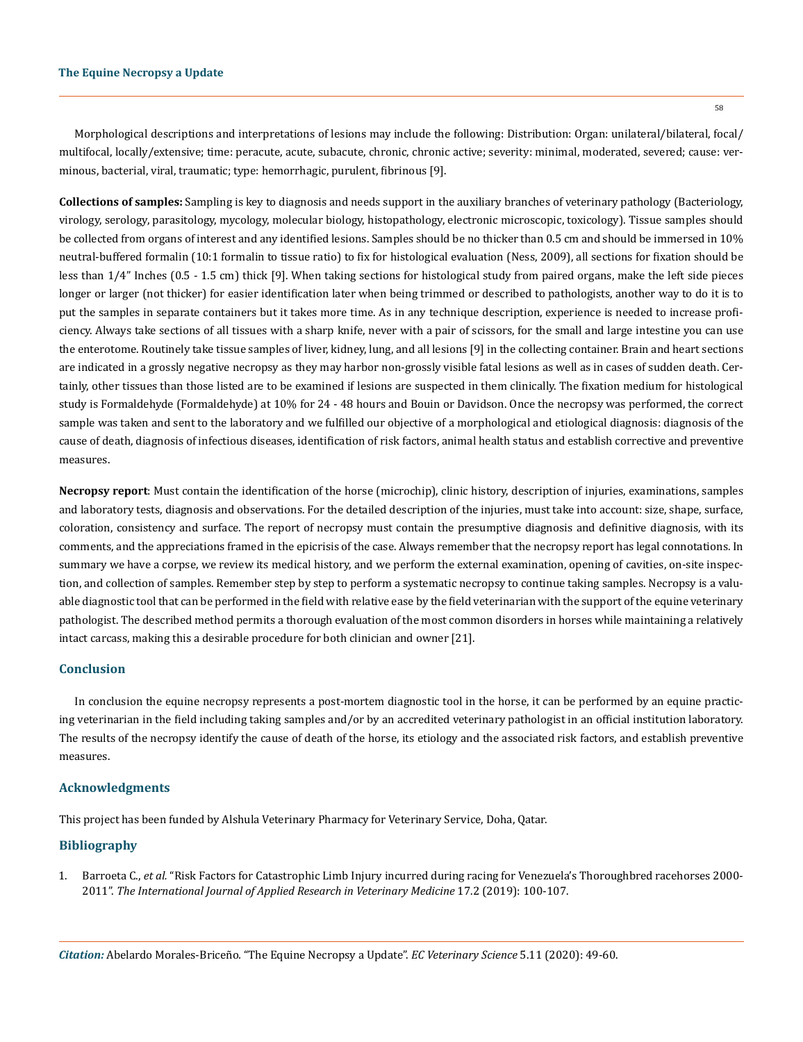Morphological descriptions and interpretations of lesions may include the following: Distribution: Organ: unilateral/bilateral, focal/ multifocal, locally/extensive; time: peracute, acute, subacute, chronic, chronic active; severity: minimal, moderated, severed; cause: verminous, bacterial, viral, traumatic; type: hemorrhagic, purulent, fibrinous [9].

**Collections of samples:** Sampling is key to diagnosis and needs support in the auxiliary branches of veterinary pathology (Bacteriology, virology, serology, parasitology, mycology, molecular biology, histopathology, electronic microscopic, toxicology). Tissue samples should be collected from organs of interest and any identified lesions. Samples should be no thicker than 0.5 cm and should be immersed in 10% neutral-buffered formalin (10:1 formalin to tissue ratio) to fix for histological evaluation (Ness, 2009), all sections for fixation should be less than 1/4" Inches (0.5 - 1.5 cm) thick [9]. When taking sections for histological study from paired organs, make the left side pieces longer or larger (not thicker) for easier identification later when being trimmed or described to pathologists, another way to do it is to put the samples in separate containers but it takes more time. As in any technique description, experience is needed to increase proficiency. Always take sections of all tissues with a sharp knife, never with a pair of scissors, for the small and large intestine you can use the enterotome. Routinely take tissue samples of liver, kidney, lung, and all lesions [9] in the collecting container. Brain and heart sections are indicated in a grossly negative necropsy as they may harbor non-grossly visible fatal lesions as well as in cases of sudden death. Certainly, other tissues than those listed are to be examined if lesions are suspected in them clinically. The fixation medium for histological study is Formaldehyde (Formaldehyde) at 10% for 24 - 48 hours and Bouin or Davidson. Once the necropsy was performed, the correct sample was taken and sent to the laboratory and we fulfilled our objective of a morphological and etiological diagnosis: diagnosis of the cause of death, diagnosis of infectious diseases, identification of risk factors, animal health status and establish corrective and preventive measures.

**Necropsy report**: Must contain the identification of the horse (microchip), clinic history, description of injuries, examinations, samples and laboratory tests, diagnosis and observations. For the detailed description of the injuries, must take into account: size, shape, surface, coloration, consistency and surface. The report of necropsy must contain the presumptive diagnosis and definitive diagnosis, with its comments, and the appreciations framed in the epicrisis of the case. Always remember that the necropsy report has legal connotations. In summary we have a corpse, we review its medical history, and we perform the external examination, opening of cavities, on-site inspection, and collection of samples. Remember step by step to perform a systematic necropsy to continue taking samples. Necropsy is a valuable diagnostic tool that can be performed in the field with relative ease by the field veterinarian with the support of the equine veterinary pathologist. The described method permits a thorough evaluation of the most common disorders in horses while maintaining a relatively intact carcass, making this a desirable procedure for both clinician and owner [21].

#### **Conclusion**

In conclusion the equine necropsy represents a post-mortem diagnostic tool in the horse, it can be performed by an equine practicing veterinarian in the field including taking samples and/or by an accredited veterinary pathologist in an official institution laboratory. The results of the necropsy identify the cause of death of the horse, its etiology and the associated risk factors, and establish preventive measures.

#### **Acknowledgments**

This project has been funded by Alshula Veterinary Pharmacy for Veterinary Service, Doha, Qatar.

# **Bibliography**

1. Barroeta C., *et al.* ["Risk Factors for Catastrophic Limb Injury incurred during racing for Venezuela's Thoroughbred racehorses 2000-](https://www.jarvm.com/articles/Vol17Iss2/Vol17%20Iss2Morales.pdf) 2011". *[The International Journal of Applied Research in Veterinary Medicine](https://www.jarvm.com/articles/Vol17Iss2/Vol17%20Iss2Morales.pdf)* 17.2 (2019): 100-107.

*Citation:* Abelardo Morales-Briceño*.* "The Equine Necropsy a Update". *EC Veterinary Science* 5.11 (2020): 49-60.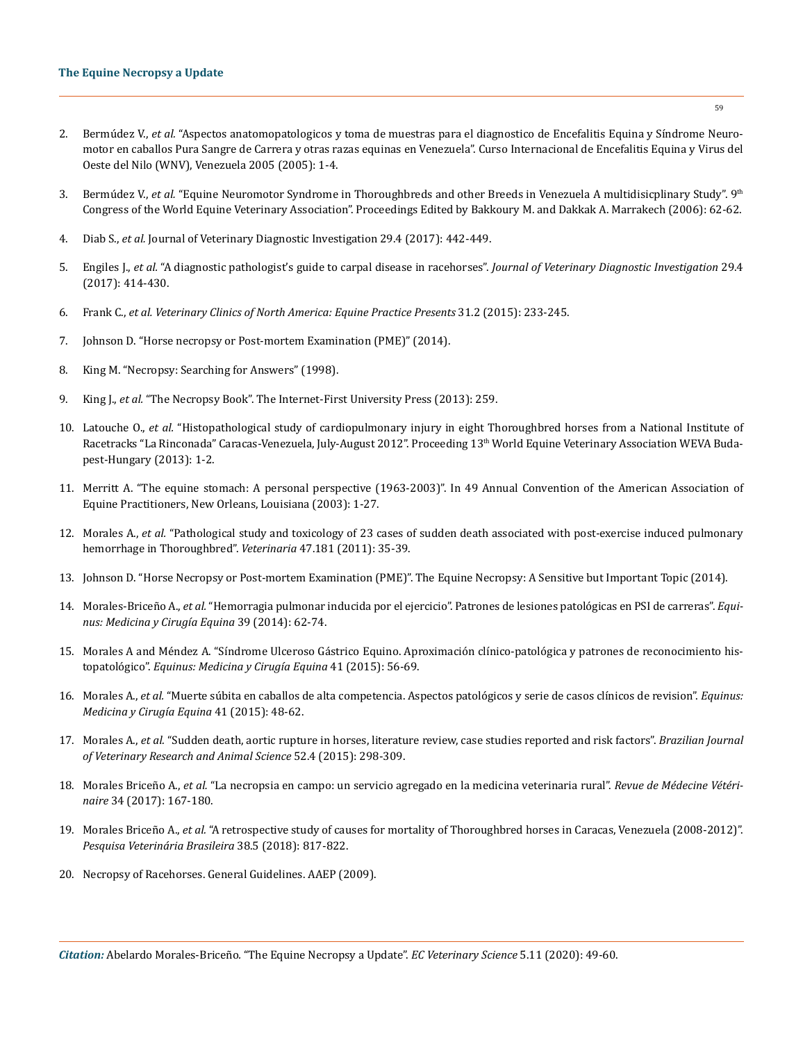- 2. Bermúdez V., *et al.* "Aspectos anatomopatologicos y toma de muestras para el diagnostico de Encefalitis Equina y Síndrome Neuromotor en caballos Pura Sangre de Carrera y otras razas equinas en Venezuela". Curso Internacional de Encefalitis Equina y Virus del Oeste del Nilo (WNV), Venezuela 2005 (2005): 1-4.
- 3. Bermúdez V., *et al.* "Equine Neuromotor Syndrome in Thoroughbreds and other Breeds in Venezuela A multidisicplinary Study". 9th Congress of the World Equine Veterinary Association". Proceedings Edited by Bakkoury M. and Dakkak A. Marrakech (2006): 62-62.
- 4. Diab S., *et al.* Journal of Veterinary Diagnostic Investigation 29.4 (2017): 442-449.
- 5. Engiles J., *et al.* ["A diagnostic pathologist's guide to carpal disease in racehorses".](https://pubmed.ncbi.nlm.nih.gov/28580838/) *Journal of Veterinary Diagnostic Investigation* 29.4 [\(2017\): 414-430.](https://pubmed.ncbi.nlm.nih.gov/28580838/)
- 6. Frank C., *et al. Veterinary Clinics of North America: Equine Practice Presents* 31.2 (2015): 233-245.
- 7. Johnson D. "Horse necropsy or Post-mortem Examination (PME)" (2014).
- 8. King M. "Necropsy: Searching for Answers" (1998).
- 9. King J., *et al.* "The Necropsy Book". The Internet-First University Press (2013): 259.
- 10. Latouche O., *et al.* ["Histopathological study of cardiopulmonary injury in eight Thoroughbred horses from a National Institute of](https://www.researchgate.net/publication/272163686_Histopathological_study_of_cardiopulmonary_injury_in_eight_Thoroughbred_horses_from_a_National_Institute_of_Racetracks_La_Rinconada_Caracas-Venezuela_July-August_2012)  [Racetracks "La Rinconada" Caracas-Venezuela, July-August 2012". Proceeding 13](https://www.researchgate.net/publication/272163686_Histopathological_study_of_cardiopulmonary_injury_in_eight_Thoroughbred_horses_from_a_National_Institute_of_Racetracks_La_Rinconada_Caracas-Venezuela_July-August_2012)<sup>th</sup> World Equine Veterinary Association WEVA Buda[pest-Hungary \(2013\): 1-2.](https://www.researchgate.net/publication/272163686_Histopathological_study_of_cardiopulmonary_injury_in_eight_Thoroughbred_horses_from_a_National_Institute_of_Racetracks_La_Rinconada_Caracas-Venezuela_July-August_2012)
- 11. [Merritt A. "The equine stomach: A personal perspective \(1963-2003\)". In 49 Annual Convention of the American Association of](https://www.cabdirect.org/cabdirect/abstract/20053193010)  [Equine Practitioners, New Orleans, Louisiana \(2003\): 1-27.](https://www.cabdirect.org/cabdirect/abstract/20053193010)
- 12. Morales A., *et al.* ["Pathological study and toxicology of 23 cases of sudden death associated with post-exercise induced pulmonary](https://www.researchgate.net/publication/258100299_Toxicology_and_Clinical_Study_of_Post_Race_Epistaxis_Associated_with_Exercise_Induced_Pulmonary_Hemorrhage_in_Thoroughbred_Race_Horses_at_the_Racecourse_Rinconada_Caracas_Venezuela)  [hemorrhage in Thoroughbred".](https://www.researchgate.net/publication/258100299_Toxicology_and_Clinical_Study_of_Post_Race_Epistaxis_Associated_with_Exercise_Induced_Pulmonary_Hemorrhage_in_Thoroughbred_Race_Horses_at_the_Racecourse_Rinconada_Caracas_Venezuela) *Veterinaria* 47.181 (2011): 35-39.
- 13. Johnson D. "Horse Necropsy or Post-mortem Examination (PME)". The Equine Necropsy: A Sensitive but Important Topic (2014).
- 14. Morales-Briceño A., *et al.* ["Hemorragia pulmonar inducida por el ejercicio". Patrones de lesiones patológicas en PSI de carreras".](https://dialnet.unirioja.es/servlet/articulo?codigo=5275534) *Equi[nus: Medicina y Cirugía Equina](https://dialnet.unirioja.es/servlet/articulo?codigo=5275534)* 39 (2014): 62-74.
- 15. [Morales A and Méndez A. "Síndrome Ulceroso Gástrico Equino. Aproximación clínico-patológica y patrones de reconocimiento his](https://www.researchgate.net/publication/283726713_Sindrome_Ulceroso_Gastrico_Equino_Aproximacion_clinico-patologica_y_patrones_de_reconocimiento_histopatologico)topatológico". *[Equinus: Medicina y Cirugía Equina](https://www.researchgate.net/publication/283726713_Sindrome_Ulceroso_Gastrico_Equino_Aproximacion_clinico-patologica_y_patrones_de_reconocimiento_histopatologico)* 41 (2015): 56-69.
- 16. Morales A., *et al.* ["Muerte súbita en caballos de alta competencia. Aspectos patológicos y serie de casos clínicos de revision".](https://dialnet.unirioja.es/servlet/articulo?codigo=5274667) *Equinus: [Medicina y Cirugía Equina](https://dialnet.unirioja.es/servlet/articulo?codigo=5274667)* 41 (2015): 48-62.
- 17. Morales A., *et al.* ["Sudden death, aortic rupture in horses, literature review, case studies reported and risk factors".](http://www.revistas.usp.br/bjvras/article/view/98298) *Brazilian Journal [of Veterinary Research and Animal Science](http://www.revistas.usp.br/bjvras/article/view/98298)* 52.4 (2015): 298-309.
- 18. Morales Briceño A., *et al.* ["La necropsia en campo: un servicio agregado en la medicina veterinaria rural".](http://www.scielo.org.co/pdf/rmv/n34s1/0122-9354-rmv-34-s1-00167.pdf) *Revue de Médecine Vétérinaire* [34 \(2017\): 167-180.](http://www.scielo.org.co/pdf/rmv/n34s1/0122-9354-rmv-34-s1-00167.pdf)
- 19. Morales Briceño A., *et al.* ["A retrospective study of causes for mortality of Thoroughbred horses in Caracas, Venezuela \(2008-2012\)".](https://www.scielo.br/scielo.php?pid=S0100-736X2018000500817&script=sci_arttext)  *[Pesquisa Veterinária Brasileira](https://www.scielo.br/scielo.php?pid=S0100-736X2018000500817&script=sci_arttext)* 38.5 (2018): 817-822.
- 20. Necropsy of Racehorses. General Guidelines. AAEP (2009).